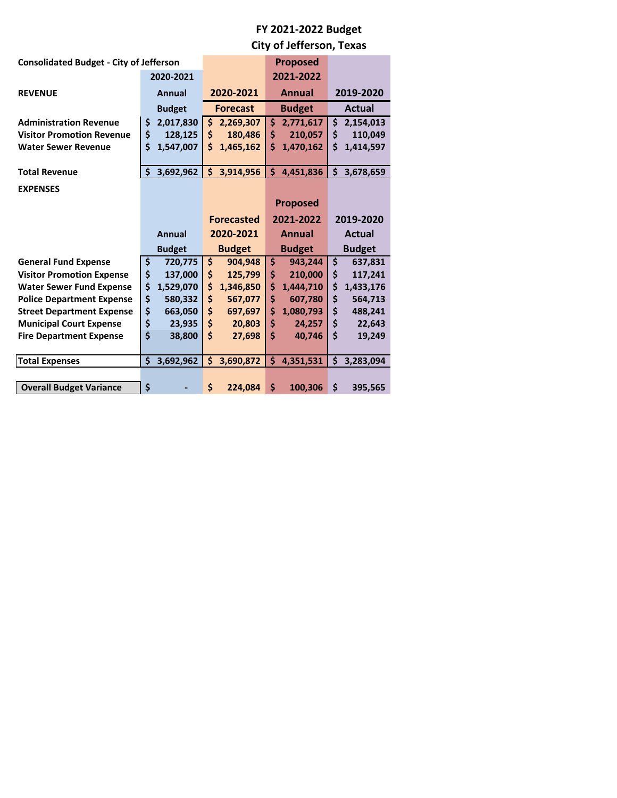# **FY 2021‐2022 Budget**

**City of Jefferson, Texas**

| <b>Consolidated Budget - City of Jefferson</b> |               |                   | <b>Proposed</b> |               |
|------------------------------------------------|---------------|-------------------|-----------------|---------------|
|                                                | 2020-2021     |                   | 2021-2022       |               |
| <b>REVENUE</b>                                 | <b>Annual</b> | 2020-2021         | <b>Annual</b>   | 2019-2020     |
|                                                | <b>Budget</b> | <b>Forecast</b>   | <b>Budget</b>   | <b>Actual</b> |
| <b>Administration Revenue</b>                  | \$            | \$                | \$              | 2,154,013     |
|                                                | 2,017,830     | 2,269,307         | 2,771,617       | \$            |
| <b>Visitor Promotion Revenue</b>               | \$            | \$                | \$              | \$            |
|                                                | 128,125       | 180,486           | 210,057         | 110,049       |
| <b>Water Sewer Revenue</b>                     | \$            | \$                | Ś               | \$            |
|                                                | 1,547,007     | 1,465,162         | 1,470,162       | 1,414,597     |
| <b>Total Revenue</b>                           | \$            | \$                | Ś               | \$            |
|                                                | 3,692,962     | 3,914,956         | 4,451,836       | 3,678,659     |
| <b>EXPENSES</b>                                |               |                   |                 |               |
|                                                |               |                   | <b>Proposed</b> |               |
|                                                |               | <b>Forecasted</b> | 2021-2022       | 2019-2020     |
|                                                | Annual        | 2020-2021         | <b>Annual</b>   | <b>Actual</b> |
|                                                | <b>Budget</b> | <b>Budget</b>     | <b>Budget</b>   | <b>Budget</b> |
| <b>General Fund Expense</b>                    | \$            | \$                | \$              | \$            |
|                                                | 720,775       | 904,948           | 943,244         | 637,831       |
| <b>Visitor Promotion Expense</b>               | \$            | \$                | \$              | \$            |
|                                                | 137,000       | 125,799           | 210,000         | 117,241       |
| <b>Water Sewer Fund Expense</b>                | \$            | \$                | \$              | \$            |
|                                                | 1,529,070     | 1,346,850         | 1,444,710       | 1,433,176     |
| <b>Police Department Expense</b>               | \$            | \$                | \$              | \$            |
|                                                | 580,332       | 567,077           | 607,780         | 564,713       |
| <b>Street Department Expense</b>               | \$            | \$                | \$              | \$            |
|                                                | 663,050       | 697,697           | 1,080,793       | 488,241       |
| <b>Municipal Court Expense</b>                 | \$            | \$                | \$              | \$            |
|                                                | 23,935        | 20,803            | 24,257          | 22,643        |
| <b>Fire Department Expense</b>                 | \$            | \$                | \$              | \$            |
|                                                | 38,800        | 27,698            | 40,746          | 19,249        |
| <b>Total Expenses</b>                          | \$            | \$                | Ś               | \$            |
|                                                | 3,692,962     | 3,690,872         | 4,351,531       | 3,283,094     |
|                                                |               |                   |                 |               |
| <b>Overall Budget Variance</b>                 | \$            | \$<br>224.084     | \$<br>100,306   | \$<br>395,565 |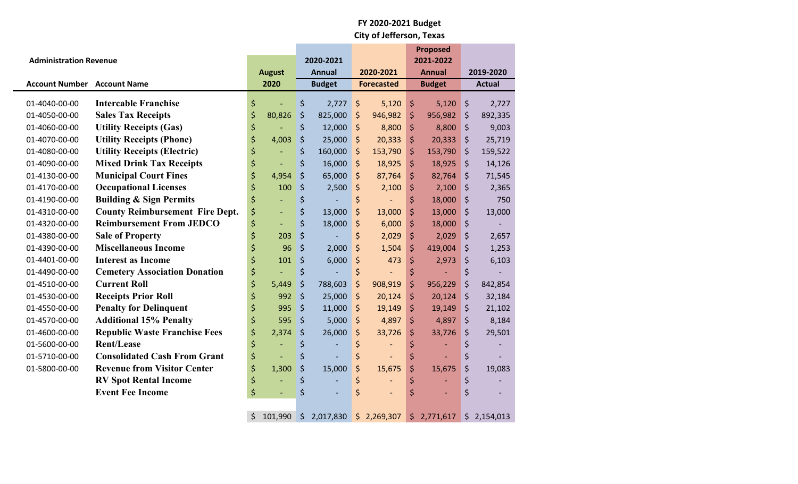|                                    |                                        |                                |         |                            |                   |             |                            | <b>Proposed</b> |           |               |
|------------------------------------|----------------------------------------|--------------------------------|---------|----------------------------|-------------------|-------------|----------------------------|-----------------|-----------|---------------|
| <b>Administration Revenue</b>      |                                        | <b>August</b>                  |         | 2020-2021<br><b>Annual</b> |                   | 2020-2021   | 2021-2022<br><b>Annual</b> |                 | 2019-2020 |               |
| <b>Account Number Account Name</b> |                                        | 2020                           |         | <b>Budget</b>              | <b>Forecasted</b> |             | <b>Budget</b>              |                 |           | <b>Actual</b> |
| 01-4040-00-00                      | <b>Intercable Franchise</b>            | \$                             | \$      | 2,727                      | $\zeta$           | 5,120       | \$                         | 5,120           | $\zeta$   | 2,727         |
| 01-4050-00-00                      | <b>Sales Tax Receipts</b>              | \$<br>80,826                   | $\zeta$ | 825,000                    | \$                | 946,982     | \$                         | 956,982         | $\zeta$   | 892,335       |
| 01-4060-00-00                      | <b>Utility Receipts (Gas)</b>          | \$                             | \$      | 12,000                     | $\zeta$           | 8,800       | \$                         | 8,800           | $\zeta$   | 9,003         |
| 01-4070-00-00                      | <b>Utility Receipts (Phone)</b>        | \$<br>4,003                    | \$      | 25,000                     | \$                | 20,333      | \$                         | 20,333          | \$        | 25,719        |
| 01-4080-00-00                      | <b>Utility Receipts (Electric)</b>     | \$                             | \$      | 160,000                    | \$                | 153,790     | \$                         | 153,790         | $\zeta$   | 159,522       |
| 01-4090-00-00                      | <b>Mixed Drink Tax Receipts</b>        | \$<br>$\blacksquare$           | \$      | 16,000                     | \$                | 18,925      | \$                         | 18,925          | $\zeta$   | 14,126        |
| 01-4130-00-00                      | <b>Municipal Court Fines</b>           | \$<br>4,954                    | $\zeta$ | 65,000                     | \$                | 87,764      | \$                         | 82,764          | $\zeta$   | 71,545        |
| 01-4170-00-00                      | <b>Occupational Licenses</b>           | \$<br>100                      | \$      | 2,500                      | \$                | 2,100       | \$                         | 2,100           | $\zeta$   | 2,365         |
| 01-4190-00-00                      | <b>Building &amp; Sign Permits</b>     | \$<br>$\overline{\phantom{a}}$ | \$      |                            | \$                |             | \$                         | 18,000          | $\zeta$   | 750           |
| 01-4310-00-00                      | <b>County Reimbursement Fire Dept.</b> | \$<br>$\overline{\phantom{a}}$ | \$      | 13,000                     | $\zeta$           | 13,000      | \$                         | 13,000          | \$        | 13,000        |
| 01-4320-00-00                      | <b>Reimbursement From JEDCO</b>        | \$<br>Ξ                        | \$      | 18,000                     | \$                | 6,000       | \$                         | 18,000          | $\zeta$   |               |
| 01-4380-00-00                      | <b>Sale of Property</b>                | \$<br>203                      | $\zeta$ |                            | \$                | 2,029       | \$                         | 2,029           | $\zeta$   | 2,657         |
| 01-4390-00-00                      | <b>Miscellaneous Income</b>            | \$<br>96                       | $\zeta$ | 2,000                      | $\zeta$           | 1,504       | \$                         | 419,004         | $\zeta$   | 1,253         |
| 01-4401-00-00                      | <b>Interest as Income</b>              | \$<br>101                      | \$      | 6,000                      | \$                | 473         | \$                         | 2,973           | \$        | 6,103         |
| 01-4490-00-00                      | <b>Cemetery Association Donation</b>   | \$                             | \$      |                            | \$                |             | \$                         |                 | $\zeta$   |               |
| 01-4510-00-00                      | <b>Current Roll</b>                    | \$<br>5,449                    | \$      | 788,603                    | \$                | 908,919     | \$                         | 956,229         | $\zeta$   | 842,854       |
| 01-4530-00-00                      | <b>Receipts Prior Roll</b>             | \$<br>992                      | $\zeta$ | 25,000                     | \$                | 20,124      | \$                         | 20,124          | $\zeta$   | 32,184        |
| 01-4550-00-00                      | <b>Penalty for Delinquent</b>          | \$<br>995                      | \$      | 11,000                     | $\zeta$           | 19,149      | \$                         | 19,149          | $\zeta$   | 21,102        |
| 01-4570-00-00                      | <b>Additional 15% Penalty</b>          | \$<br>595                      | \$      | 5,000                      | \$                | 4,897       | \$                         | 4,897           | $\zeta$   | 8,184         |
| 01-4600-00-00                      | <b>Republic Waste Franchise Fees</b>   | \$<br>2,374                    | \$      | 26,000                     | \$                | 33,726      | \$                         | 33,726          | $\zeta$   | 29,501        |
| 01-5600-00-00                      | <b>Rent/Lease</b>                      | \$                             | \$      |                            | \$                |             | \$                         |                 | \$        |               |
| 01-5710-00-00                      | <b>Consolidated Cash From Grant</b>    | \$                             | \$      |                            | \$                |             | \$                         |                 | \$        |               |
| 01-5800-00-00                      | <b>Revenue from Visitor Center</b>     | \$<br>1,300                    | \$      | 15,000                     | \$                | 15,675      | \$                         | 15,675          | \$        | 19,083        |
|                                    | <b>RV Spot Rental Income</b>           | \$                             | \$      |                            | \$                |             | \$                         |                 | \$        |               |
|                                    | <b>Event Fee Income</b>                | \$<br>$\blacksquare$           | \$      |                            | \$                |             | \$                         |                 | \$        |               |
|                                    |                                        |                                |         |                            |                   |             |                            |                 |           |               |
|                                    |                                        | \$<br>101,990                  | $\zeta$ | 2,017,830                  |                   | \$2,269,307 | \$                         | 2,771,617       |           | \$2,154,013   |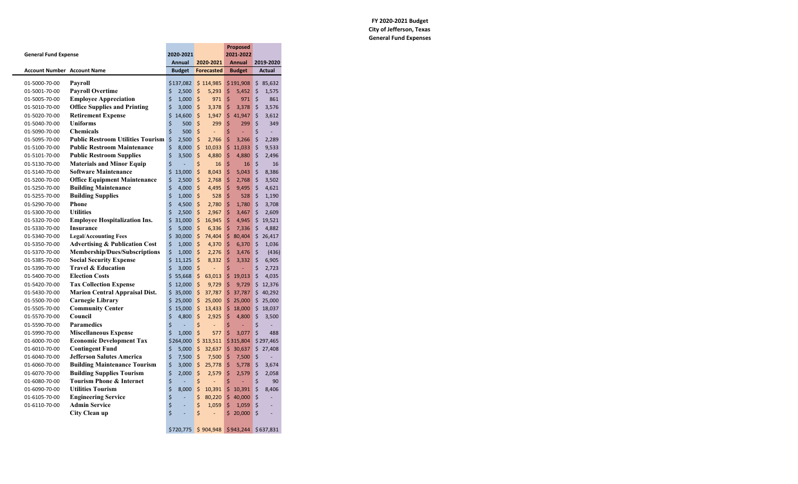### **FY 2020‐2021 Budget City of Jefferson, Texas General Fund Expenses**

|                                    |                                           |               |                   | <b>Proposed</b> |               |
|------------------------------------|-------------------------------------------|---------------|-------------------|-----------------|---------------|
| <b>General Fund Expense</b>        |                                           | 2020-2021     |                   | 2021-2022       |               |
| <b>Account Number Account Name</b> |                                           | <b>Annual</b> | 2020-2021         | <b>Annual</b>   | 2019-2020     |
|                                    |                                           | <b>Budget</b> | <b>Forecasted</b> | <b>Budget</b>   | <b>Actual</b> |
| 01-5000-70-00                      | Payroll                                   | \$137,082     | \$114,985         | \$191,908       | 85,632<br>\$  |
| 01-5001-70-00                      | <b>Payroll Overtime</b>                   | \$<br>2,500   | \$<br>5,293       | \$<br>5,452     | \$<br>1,575   |
| 01-5005-70-00                      | <b>Employee Appreciation</b>              | \$<br>1,000   | \$<br>971         | \$<br>971       | \$<br>861     |
| 01-5010-70-00                      | <b>Office Supplies and Printing</b>       | \$<br>3,000   | \$<br>3,378       | \$<br>3,378     | \$<br>3,576   |
| 01-5020-70-00                      | <b>Retirement Expense</b>                 | \$<br>14,600  | \$<br>1,947       | \$<br>41,947    | \$<br>3,612   |
| 01-5040-70-00                      | <b>Uniforms</b>                           | \$<br>500     | \$<br>299         | \$<br>299       | \$<br>349     |
| 01-5090-70-00                      | <b>Chemicals</b>                          | \$<br>500     | \$<br>Ξ           | \$<br>ł,        | \$            |
| 01-5095-70-00                      | <b>Public Restroom Utilities Tourism</b>  | \$<br>2,500   | \$<br>2,766       | \$<br>3,266     | \$<br>2,289   |
| 01-5100-70-00                      | <b>Public Restroom Maintenance</b>        | \$<br>8,000   | \$<br>10,033      | \$11,033        | \$<br>9,533   |
| 01-5101-70-00                      | <b>Public Restroom Supplies</b>           | \$<br>3,500   | \$<br>4,880       | \$<br>4,880     | \$<br>2,496   |
| 01-5130-70-00                      | <b>Materials and Minor Equip</b>          | \$            | \$<br>16          | \$<br>16        | \$<br>16      |
| 01-5140-70-00                      | <b>Software Maintenance</b>               | \$<br>13,000  | \$<br>8,043       | \$<br>5,043     | \$<br>8,386   |
| 01-5200-70-00                      | <b>Office Equipment Maintenance</b>       | \$<br>2,500   | \$<br>2,768       | \$<br>2,768     | \$<br>3,502   |
| 01-5250-70-00                      | <b>Building Maintenance</b>               | \$<br>4,000   | \$<br>4,495       | \$<br>9,495     | \$<br>4,621   |
| 01-5255-70-00                      | <b>Building Supplies</b>                  | \$<br>1,000   | \$<br>528         | \$<br>528       | \$<br>1,190   |
| 01-5290-70-00                      | <b>Phone</b>                              | \$<br>4,500   | \$<br>2,780       | \$<br>1,780     | \$<br>3,708   |
| 01-5300-70-00                      | <b>Utilities</b>                          | \$<br>2,500   | \$<br>2,967       | \$<br>3,467     | \$<br>2,609   |
| 01-5320-70-00                      | <b>Employee Hospitalization Ins.</b>      | \$<br>31,000  | \$<br>16,945      | \$<br>4,945     | \$<br>19,521  |
| 01-5330-70-00                      | <b>Insurance</b>                          | \$<br>5,000   | \$<br>6,336       | \$<br>7,336     | \$<br>4,882   |
| 01-5340-70-00                      | <b>Legal/Accounting Fees</b>              | \$<br>30,000  | \$<br>74,404      | \$80,404        | \$<br>26,417  |
| 01-5350-70-00                      | <b>Advertising &amp; Publication Cost</b> | \$<br>1,000   | \$<br>4,370       | \$<br>6,370     | \$<br>1,036   |
| 01-5370-70-00                      | Membership/Dues/Subscriptions             | \$<br>1,000   | \$<br>2,276       | \$<br>3,476     | \$<br>(436)   |
| 01-5385-70-00                      | <b>Social Security Expense</b>            | \$<br>11,125  | \$<br>8,332       | \$<br>3,332     | \$<br>6,905   |
| 01-5390-70-00                      | <b>Travel &amp; Education</b>             | \$<br>3,000   | \$                | \$<br>L,        | \$<br>2,723   |
| 01-5400-70-00                      | <b>Election Costs</b>                     | \$<br>55,668  | $\zeta$<br>63,013 | \$19,013        | \$<br>4,035   |
| 01-5420-70-00                      | <b>Tax Collection Expense</b>             | \$<br>12,000  | \$<br>9,729       | \$<br>9,729     | \$<br>12,376  |
| 01-5430-70-00                      | <b>Marion Central Appraisal Dist.</b>     | \$<br>35,000  | \$<br>37,787      | \$<br>37,787    | \$<br>40,292  |
| 01-5500-70-00                      | <b>Carnegie Library</b>                   | \$<br>25,000  | \$<br>25,000      | \$25,000        | \$<br>25,000  |
| 01-5505-70-00                      | <b>Community Center</b>                   | \$<br>15,000  | \$<br>13,433      | \$<br>18,000    | \$<br>18,037  |
| 01-5570-70-00                      | Council                                   | \$<br>4,800   | \$<br>2,925       | \$<br>4,800     | \$<br>3,500   |
| 01-5590-70-00                      | <b>Paramedics</b>                         | \$            | \$<br>Ξ           | \$              | \$            |
| 01-5990-70-00                      | <b>Miscellaneous Expense</b>              | \$<br>1,000   | \$<br>577         | \$<br>3,077     | \$<br>488     |
| 01-6000-70-00                      | <b>Economic Development Tax</b>           | \$264,000     | \$313,511         | \$315,804       | \$297,465     |
| 01-6010-70-00                      | <b>Contingent Fund</b>                    | \$<br>5,000   | \$<br>32,637      | \$30,637        | \$<br>27,408  |
| 01-6040-70-00                      | <b>Jefferson Salutes America</b>          | \$<br>7,500   | \$<br>7,500       | \$<br>7,500     | \$            |
| 01-6060-70-00                      | <b>Building Maintenance Tourism</b>       | \$<br>3,000   | \$<br>25,778      | \$<br>5,778     | \$<br>3,674   |
| 01-6070-70-00                      | <b>Building Supplies Tourism</b>          | \$<br>2,000   | \$<br>2,579       | \$<br>2,579     | \$<br>2,058   |
| 01-6080-70-00                      | <b>Tourism Phone &amp; Internet</b>       | \$            | \$<br>÷,          | \$<br>÷         | \$<br>90      |
| 01-6090-70-00                      | <b>Utilities Tourism</b>                  | \$<br>8,000   | \$<br>10,391      | \$10,391        | \$<br>8,406   |
| 01-6105-70-00                      | <b>Engineering Service</b>                | \$<br>÷,      | \$<br>80,220      | \$40,000        | \$<br>÷,      |
| 01-6110-70-00                      | <b>Admin Service</b>                      | \$            | \$<br>1,059       | \$<br>1,059     | \$            |
|                                    | <b>City Clean up</b>                      | Ś             | Ś<br>÷.           | Ś.<br>20,000    | Ś             |
|                                    |                                           |               |                   |                 |               |

 $$ 720,775$   $$ 904,948$  \$943,244 \$637,831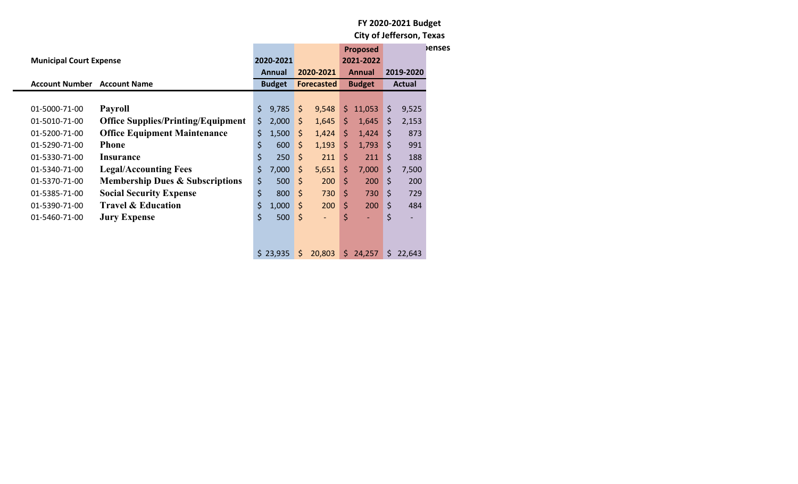| <b>Municipal Court Expense</b>     |                                            |               | 2020-2021 |           |                   |               | <b>Proposed</b><br>2021-2022 |           |                          | <b>Penses</b> |
|------------------------------------|--------------------------------------------|---------------|-----------|-----------|-------------------|---------------|------------------------------|-----------|--------------------------|---------------|
|                                    |                                            | <b>Annual</b> |           | 2020-2021 |                   | <b>Annual</b> |                              | 2019-2020 |                          |               |
| <b>Account Number Account Name</b> |                                            | <b>Budget</b> |           |           | <b>Forecasted</b> |               | <b>Budget</b>                |           | <b>Actual</b>            |               |
|                                    |                                            |               |           |           |                   |               |                              |           |                          |               |
| 01-5000-71-00                      | <b>Payroll</b>                             | $\zeta$       | 9,785     | \$        | 9,548             | S.            | 11,053                       | \$        | 9,525                    |               |
| 01-5010-71-00                      | <b>Office Supplies/Printing/Equipment</b>  | \$            | 2,000     | \$        | 1,645             | \$            | 1,645                        | \$        | 2,153                    |               |
| 01-5200-71-00                      | <b>Office Equipment Maintenance</b>        | \$            | 1,500     | \$        | 1,424             | $\zeta$       | 1,424                        | $\zeta$   | 873                      |               |
| 01-5290-71-00                      | <b>Phone</b>                               | \$            | 600       | \$        | 1,193             | \$            | 1,793                        | \$        | 991                      |               |
| 01-5330-71-00                      | Insurance                                  | \$            | 250       | $\zeta$   | 211               | \$            | 211                          | \$        | 188                      |               |
| 01-5340-71-00                      | <b>Legal/Accounting Fees</b>               | \$            | 7,000     | \$        | 5,651             | \$            | 7,000                        | \$        | 7,500                    |               |
| 01-5370-71-00                      | <b>Membership Dues &amp; Subscriptions</b> | \$            | 500       | \$        | 200               | \$            | 200                          | \$        | 200                      |               |
| 01-5385-71-00                      | <b>Social Security Expense</b>             | \$            | 800       | $\zeta$   | 730               | \$            | 730                          | \$        | 729                      |               |
| 01-5390-71-00                      | <b>Travel &amp; Education</b>              | \$            | 1,000     | \$        | 200               | \$            | 200                          | \$        | 484                      |               |
| 01-5460-71-00                      | <b>Jury Expense</b>                        | \$            | 500       | \$        | $\blacksquare$    | \$            | ٠                            | \$        | $\overline{\phantom{a}}$ |               |
|                                    |                                            |               |           |           |                   |               |                              |           |                          |               |
|                                    |                                            |               |           |           |                   |               |                              |           |                          |               |
|                                    |                                            |               | \$23,935  | \$        | 20,803            |               | \$24,257                     | S.        | 22,643                   |               |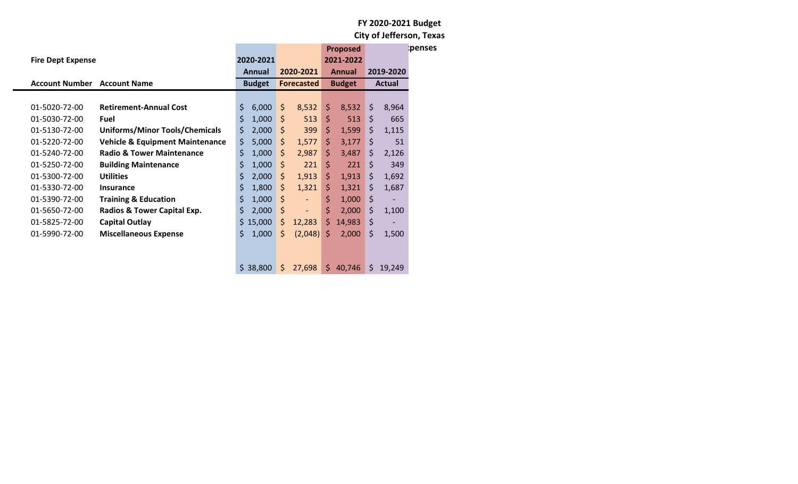|                                    |                                            |           |               |                   |                          |               | <b>Proposed</b> |         |                          | penses |  |  |               |  |
|------------------------------------|--------------------------------------------|-----------|---------------|-------------------|--------------------------|---------------|-----------------|---------|--------------------------|--------|--|--|---------------|--|
| <b>Fire Dept Expense</b>           |                                            | 2020-2021 |               |                   |                          |               | 2021-2022       |         |                          |        |  |  |               |  |
|                                    |                                            |           | Annual        |                   | 2020-2021                |               | Annual          |         | 2019-2020                |        |  |  |               |  |
| <b>Account Number Account Name</b> |                                            |           | <b>Budget</b> | <b>Forecasted</b> |                          |               | <b>Budget</b>   |         |                          |        |  |  | <b>Actual</b> |  |
|                                    |                                            |           |               |                   |                          |               |                 |         |                          |        |  |  |               |  |
| 01-5020-72-00                      | <b>Retirement-Annual Cost</b>              | \$        | 6,000         | \$                | 8,532                    | \$            | 8,532           | $\zeta$ | 8,964                    |        |  |  |               |  |
| 01-5030-72-00                      | Fuel                                       | \$        | 1,000         | \$                | 513                      | \$            | 513             | \$      | 665                      |        |  |  |               |  |
| 01-5130-72-00                      | <b>Uniforms/Minor Tools/Chemicals</b>      | \$        | 2,000         | \$                | 399                      | \$            | 1,599           | $\zeta$ | 1,115                    |        |  |  |               |  |
| 01-5220-72-00                      | <b>Vehicle &amp; Equipment Maintenance</b> | \$        | 5,000         | \$                | 1,577                    | \$.           | 3,177           | $\zeta$ | 51                       |        |  |  |               |  |
| 01-5240-72-00                      | <b>Radio &amp; Tower Maintenance</b>       | \$        | 1,000         | \$                | 2,987                    | \$            | 3,487           | \$      | 2,126                    |        |  |  |               |  |
| 01-5250-72-00                      | <b>Building Maintenance</b>                | \$        | 1,000         | \$                | 221                      | \$            | 221             | \$      | 349                      |        |  |  |               |  |
| 01-5300-72-00                      | <b>Utilities</b>                           | \$        | 2,000         | $\mathsf{S}$      | 1,913                    | $\frac{1}{2}$ | 1,913           | \$      | 1,692                    |        |  |  |               |  |
| 01-5330-72-00                      | <b>Insurance</b>                           | \$        | 1,800         | \$                | 1,321                    | \$            | 1,321           | \$      | 1,687                    |        |  |  |               |  |
| 01-5390-72-00                      | <b>Training &amp; Education</b>            | \$        | 1,000         | \$                | ٠                        | \$            | 1,000           | $\zeta$ |                          |        |  |  |               |  |
| 01-5650-72-00                      | Radios & Tower Capital Exp.                | \$        | 2,000         | \$                | $\overline{\phantom{a}}$ | \$            | 2,000           | \$      | 1,100                    |        |  |  |               |  |
| 01-5825-72-00                      | <b>Capital Outlay</b>                      |           | \$15,000      | \$                | 12,283                   | \$            | 14,983          | \$      | $\overline{\phantom{a}}$ |        |  |  |               |  |
| 01-5990-72-00                      | <b>Miscellaneous Expense</b>               | Ś.        | 1,000         | \$                | (2,048)                  | S.            | 2,000           | \$      | 1,500                    |        |  |  |               |  |
|                                    |                                            |           |               |                   |                          |               |                 |         |                          |        |  |  |               |  |
|                                    |                                            |           |               |                   |                          |               |                 |         |                          |        |  |  |               |  |
|                                    |                                            |           | \$38,800      | \$                | 27,698                   | \$            | 40,746          | \$      | 19,249                   |        |  |  |               |  |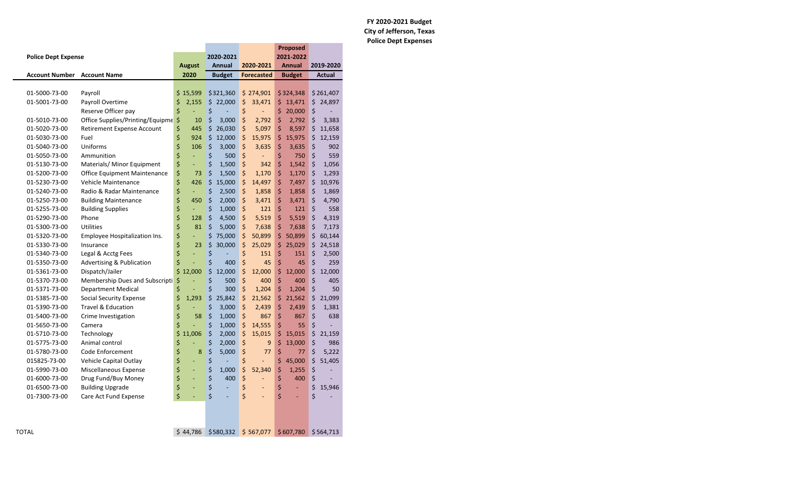### **FY 2020‐2021 Budget City of Jefferson, Texas Police Dept Expenses**

|                            |                                      |               |                  |                      | <b>Proposed</b> |              |
|----------------------------|--------------------------------------|---------------|------------------|----------------------|-----------------|--------------|
| <b>Police Dept Expense</b> |                                      |               | 2020-2021        |                      | 2021-2022       |              |
|                            |                                      | <b>August</b> | Annual           | 2020-2021            | <b>Annual</b>   | 2019-2020    |
| <b>Account Number</b>      | <b>Account Name</b>                  | 2020          | <b>Budget</b>    | <b>Forecasted</b>    | <b>Budget</b>   | Actual       |
|                            |                                      |               |                  |                      |                 |              |
| 01-5000-73-00              | Payroll                              | \$15,599      | \$321,360        | \$274,901            | \$324,348       | \$261,407    |
| 01-5001-73-00              | Payroll Overtime                     | \$<br>2,155   | \$22,000         | \$<br>33,471         | \$13,471        | \$24,897     |
|                            | Reserve Officer pay                  | \$            | \$               | \$<br>L,             | \$<br>20,000    | \$           |
| 01-5010-73-00              | Office Supplies/Printing/Equipme     | \$<br>10      | \$<br>3,000      | \$<br>2,792          | \$<br>2,792     | \$<br>3,383  |
| 01-5020-73-00              | Retirement Expense Account           | \$<br>445     | \$<br>26,030     | \$<br>5,097          | \$<br>8,597     | \$<br>11,658 |
| 01-5030-73-00              | Fuel                                 | \$<br>924     | \$<br>12,000     | \$<br>15,975         | \$<br>15,975    | \$<br>12,159 |
| 01-5040-73-00              | Uniforms                             | \$<br>106     | \$<br>3,000      | \$<br>3,635          | \$<br>3,635     | \$<br>902    |
| 01-5050-73-00              | Ammunition                           | \$<br>ä,      | \$<br>500        | \$<br>ä,             | \$<br>750       | \$<br>559    |
| 01-5130-73-00              | Materials/ Minor Equipment           | \$<br>Ξ       | \$<br>1,500      | \$<br>342            | \$<br>1,542     | \$<br>1,056  |
| 01-5200-73-00              | Office Equipment Maintenance         | \$<br>73      | $\zeta$<br>1,500 | \$<br>1,170          | \$<br>1,170     | \$<br>1,293  |
| 01-5230-73-00              | Vehicle Maintenance                  | \$<br>426     | \$<br>15,000     | \$<br>14,497         | \$<br>7,497     | \$<br>10,976 |
| 01-5240-73-00              | Radio & Radar Maintenance            | \$            | \$<br>2,500      | \$<br>1,858          | \$<br>1,858     | \$<br>1,869  |
| 01-5250-73-00              | <b>Building Maintenance</b>          | \$<br>450     | \$<br>2,000      | \$<br>3,471          | \$<br>3,471     | \$<br>4,790  |
| 01-5255-73-00              | <b>Building Supplies</b>             | \$            | \$<br>1,000      | \$<br>121            | \$<br>121       | \$<br>558    |
| 01-5290-73-00              | Phone                                | \$<br>128     | \$<br>4,500      | \$<br>5,519          | \$<br>5,519     | \$<br>4,319  |
| 01-5300-73-00              | Utilities                            | \$<br>81      | Ś.<br>5,000      | \$<br>7,638          | \$<br>7,638     | \$<br>7,173  |
| 01-5320-73-00              | Employee Hospitalization Ins.        | \$<br>Ξ       | \$<br>75,000     | \$<br>50,899         | \$<br>50,899    | \$<br>60,144 |
| 01-5330-73-00              | Insurance                            | \$<br>23      | \$<br>30,000     | \$<br>25,029         | \$<br>25,029    | \$<br>24,518 |
| 01-5340-73-00              | Legal & Acctg Fees                   | \$            | \$               | \$<br>151            | \$<br>151       | \$<br>2,500  |
| 01-5350-73-00              | <b>Advertising &amp; Publication</b> | \$<br>L,      | \$<br>400        | \$<br>45             | \$<br>45        | \$<br>259    |
| 01-5361-73-00              | Dispatch/Jailer                      | \$12,000      | \$<br>12,000     | \$<br>12,000         | \$<br>12,000    | \$<br>12,000 |
| 01-5370-73-00              | Membership Dues and Subscripti       | \$            | \$<br>500        | $\zeta$<br>400       | \$<br>400       | \$<br>405    |
| 01-5371-73-00              | <b>Department Medical</b>            | \$            | \$<br>300        | \$<br>1,204          | \$<br>1,204     | \$<br>50     |
| 01-5385-73-00              | Social Security Expense              | \$<br>1,293   | \$<br>25,842     | \$<br>21,562         | \$<br>21,562    | \$<br>21,099 |
| 01-5390-73-00              | <b>Travel &amp; Education</b>        | \$            | \$<br>3,000      | $\zeta$<br>2,439     | \$<br>2,439     | \$<br>1,381  |
| 01-5400-73-00              | Crime Investigation                  | \$<br>58      | \$<br>1,000      | \$<br>867            | \$<br>867       | \$<br>638    |
| 01-5650-73-00              | Camera                               | \$            | \$<br>1,000      | \$<br>14,555         | \$<br>55        | \$           |
| 01-5710-73-00              | Technology                           | \$<br>11,006  | \$<br>2,000      | \$<br>15,015         | \$<br>15,015    | \$<br>21,159 |
| 01-5775-73-00              | Animal control                       | \$            | \$<br>2,000      | \$<br>9              | \$<br>13,000    | \$<br>986    |
| 01-5780-73-00              | Code Enforcement                     | \$<br>8       | \$<br>5,000      | \$<br>77             | \$<br>77        | \$<br>5,222  |
| 015825-73-00               | Vehicle Capital Outlay               | \$<br>÷,      | \$               | \$                   | \$<br>45,000    | \$<br>51,405 |
| 01-5990-73-00              | Miscellaneous Expense                | \$<br>Ξ       | \$<br>1,000      | \$<br>52,340         | \$<br>1,255     | \$<br>Ē,     |
| 01-6000-73-00              | Drug Fund/Buy Money                  | \$<br>Ξ       | \$<br>400        | \$<br>÷,             | \$<br>400       | \$           |
| 01-6500-73-00              | <b>Building Upgrade</b>              | \$<br>÷       | \$               | \$<br>ä,             | \$<br>÷.        | \$<br>15,946 |
| 01-7300-73-00              | Care Act Fund Expense                | \$<br>L,      | \$<br>L.         | \$<br>$\overline{a}$ | \$<br>ä,        | \$           |
|                            |                                      |               |                  |                      |                 |              |
| TOTAL                      |                                      | \$44.786      | \$580,332        | \$567,077            | \$607,780       | \$564,713    |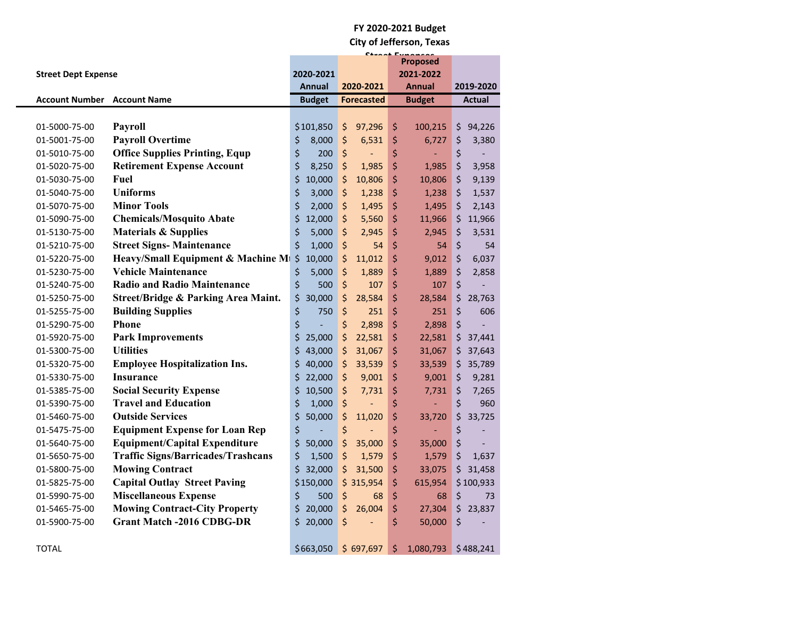|                            |                                                   |               | $C+ \cdots$                        |                              |                   |  |  |
|----------------------------|---------------------------------------------------|---------------|------------------------------------|------------------------------|-------------------|--|--|
|                            |                                                   | 2020-2021     |                                    | <b>Proposed</b><br>2021-2022 |                   |  |  |
| <b>Street Dept Expense</b> |                                                   | <b>Annual</b> | 2020-2021                          | <b>Annual</b>                | 2019-2020         |  |  |
| <b>Account Number</b>      | <b>Account Name</b>                               | <b>Budget</b> | <b>Forecasted</b>                  | <b>Budget</b>                | <b>Actual</b>     |  |  |
|                            |                                                   |               |                                    |                              |                   |  |  |
| 01-5000-75-00              | <b>Payroll</b>                                    | \$101,850     | $\zeta$<br>97,296                  | \$<br>100,215                | \$<br>94,226      |  |  |
| 01-5001-75-00              | <b>Payroll Overtime</b>                           | \$<br>8,000   | \$<br>6,531                        | \$<br>6,727                  | \$<br>3,380       |  |  |
| 01-5010-75-00              | <b>Office Supplies Printing, Equp</b>             | \$<br>200     | \$<br>$\overline{\phantom{a}}$     | \$<br>$\blacksquare$         | \$                |  |  |
| 01-5020-75-00              | <b>Retirement Expense Account</b>                 | \$<br>8,250   | \$<br>1,985                        | \$<br>1,985                  | \$<br>3,958       |  |  |
| 01-5030-75-00              | Fuel                                              | \$<br>10,000  | \$<br>10,806                       | \$<br>10,806                 | \$<br>9,139       |  |  |
| 01-5040-75-00              | <b>Uniforms</b>                                   | \$<br>3,000   | \$<br>1,238                        | \$<br>1,238                  | \$<br>1,537       |  |  |
| 01-5070-75-00              | <b>Minor Tools</b>                                | \$<br>2,000   | \$<br>1,495                        | \$<br>1,495                  | $\zeta$<br>2,143  |  |  |
| 01-5090-75-00              | <b>Chemicals/Mosquito Abate</b>                   | \$<br>12,000  | \$<br>5,560                        | \$<br>11,966                 | \$<br>11,966      |  |  |
| 01-5130-75-00              | <b>Materials &amp; Supplies</b>                   | \$<br>5,000   | \$<br>2,945                        | \$<br>2,945                  | \$<br>3,531       |  |  |
| 01-5210-75-00              | <b>Street Signs- Maintenance</b>                  | \$<br>1,000   | \$<br>54                           | \$<br>54                     | \$<br>54          |  |  |
| 01-5220-75-00              | Heavy/Small Equipment & Machine M <sub>1</sub> \$ | 10,000        | \$<br>11,012                       | \$<br>9,012                  | \$<br>6,037       |  |  |
| 01-5230-75-00              | <b>Vehicle Maintenance</b>                        | \$<br>5,000   | \$<br>1,889                        | \$<br>1,889                  | \$<br>2,858       |  |  |
| 01-5240-75-00              | <b>Radio and Radio Maintenance</b>                | \$<br>500     | $\zeta$<br>107                     | \$<br>107                    | \$                |  |  |
| 01-5250-75-00              | Street/Bridge & Parking Area Maint.               | \$<br>30,000  | \$<br>28,584                       | \$<br>28,584                 | \$<br>28,763      |  |  |
| 01-5255-75-00              | <b>Building Supplies</b>                          | \$<br>750     | $\zeta$<br>251                     | \$<br>251                    | $\zeta$<br>606    |  |  |
| 01-5290-75-00              | <b>Phone</b>                                      | \$<br>L,      | \$<br>2,898                        | \$<br>2,898                  | \$                |  |  |
| 01-5920-75-00              | <b>Park Improvements</b>                          | \$<br>25,000  | $\zeta$<br>22,581                  | \$<br>22,581                 | \$<br>37,441      |  |  |
| 01-5300-75-00              | <b>Utilities</b>                                  | \$<br>43,000  | $\ddot{\varsigma}$<br>31,067       | \$<br>31,067                 | 37,643<br>\$      |  |  |
| 01-5320-75-00              | <b>Employee Hospitalization Ins.</b>              | \$<br>40,000  | $\zeta$<br>33,539                  | \$<br>33,539                 | 35,789<br>\$.     |  |  |
| 01-5330-75-00              | Insurance                                         | \$<br>22,000  | \$<br>9,001                        | \$<br>9,001                  | \$<br>9,281       |  |  |
| 01-5385-75-00              | <b>Social Security Expense</b>                    | \$<br>10,500  | \$<br>7,731                        | \$<br>7,731                  | \$<br>7,265       |  |  |
| 01-5390-75-00              | <b>Travel and Education</b>                       | \$<br>1,000   | \$<br>$\qquad \qquad \blacksquare$ | \$                           | \$<br>960         |  |  |
| 01-5460-75-00              | <b>Outside Services</b>                           | \$<br>50,000  | \$<br>11,020                       | \$<br>33,720                 | \$<br>33,725      |  |  |
| 01-5475-75-00              | <b>Equipment Expense for Loan Rep</b>             | \$            | \$<br>÷,                           | \$                           | \$                |  |  |
| 01-5640-75-00              | <b>Equipment/Capital Expenditure</b>              | \$<br>50,000  | $\zeta$<br>35,000                  | \$<br>35,000                 | \$                |  |  |
| 01-5650-75-00              | <b>Traffic Signs/Barricades/Trashcans</b>         | \$<br>1,500   | $\zeta$<br>1,579                   | \$<br>1,579                  | $\zeta$<br>1,637  |  |  |
| 01-5800-75-00              | <b>Mowing Contract</b>                            | \$32,000      | \$<br>31,500                       | \$<br>33,075                 | \$31,458          |  |  |
| 01-5825-75-00              | <b>Capital Outlay Street Paving</b>               | \$150,000     | \$315,954                          | \$<br>615,954                | \$100,933         |  |  |
| 01-5990-75-00              | <b>Miscellaneous Expense</b>                      | \$<br>500     | \$<br>68                           | \$<br>68                     | \$<br>73          |  |  |
| 01-5465-75-00              | <b>Mowing Contract-City Property</b>              | \$<br>20,000  | $\ddot{\varsigma}$<br>26,004       | \$<br>27,304                 | $\zeta$<br>23,837 |  |  |
| 01-5900-75-00              | <b>Grant Match -2016 CDBG-DR</b>                  | \$20,000      | $\zeta$<br>$\overline{a}$          | \$<br>50,000                 | \$                |  |  |
|                            |                                                   |               |                                    |                              |                   |  |  |
| <b>TOTAL</b>               |                                                   | \$663,050     | \$697,697                          | \$<br>1,080,793              | \$488,241         |  |  |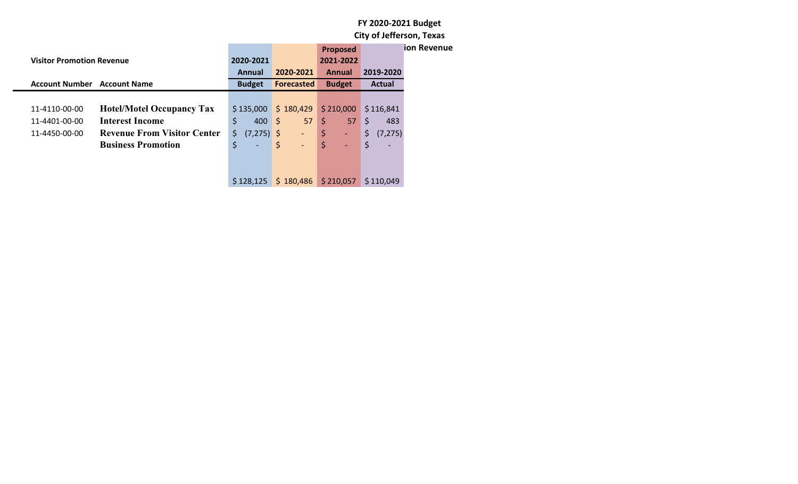|                                  |                                    |                                |                                        | <b>Proposed</b>    |                | ion Revenue |
|----------------------------------|------------------------------------|--------------------------------|----------------------------------------|--------------------|----------------|-------------|
| <b>Visitor Promotion Revenue</b> |                                    | 2020-2021                      |                                        | 2021-2022          |                |             |
|                                  |                                    | Annual                         | 2020-2021                              | Annual             | 2019-2020      |             |
| <b>Account Number</b>            | <b>Account Name</b>                | <b>Budget</b>                  | Forecasted                             | <b>Budget</b>      | Actual         |             |
|                                  |                                    |                                |                                        |                    |                |             |
| 11-4110-00-00                    | <b>Hotel/Motel Occupancy Tax</b>   | \$135,000                      | \$180,429                              | \$210,000          | \$116,841      |             |
| 11-4401-00-00                    | <b>Interest Income</b>             | \$<br>400                      | $\vert$ \$<br>57                       | $\mathsf{S}$<br>57 | \$<br>483      |             |
| 11-4450-00-00                    | <b>Revenue From Visitor Center</b> | \$<br>$(7,275)$ \$             | ٠                                      | \$<br>÷            | \$<br>(7, 275) |             |
|                                  | <b>Business Promotion</b>          | \$<br>$\overline{\phantom{a}}$ | $\vert$ \$<br>$\overline{\phantom{a}}$ | \$                 | \$             |             |
|                                  |                                    |                                |                                        |                    |                |             |
|                                  |                                    |                                |                                        |                    |                |             |
|                                  |                                    | \$128,125                      | \$180,486                              | \$210,057          | \$110,049      |             |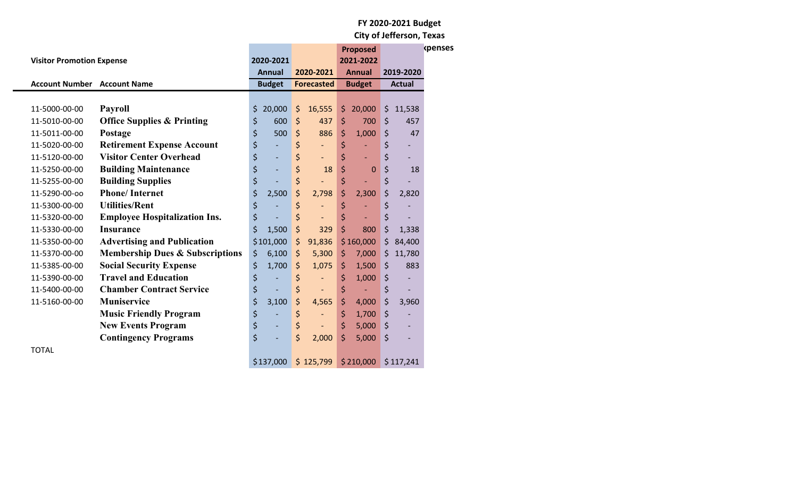|                                    |                                            |                                |                                |                          |               | <b>Proposed</b> |                      |               | <b>kpenses</b> |
|------------------------------------|--------------------------------------------|--------------------------------|--------------------------------|--------------------------|---------------|-----------------|----------------------|---------------|----------------|
| <b>Visitor Promotion Expense</b>   |                                            | 2020-2021                      |                                |                          |               | 2021-2022       |                      |               |                |
|                                    |                                            | <b>Annual</b>                  |                                | 2020-2021                |               | <b>Annual</b>   |                      | 2019-2020     |                |
| <b>Account Number Account Name</b> |                                            | <b>Budget</b>                  |                                | <b>Forecasted</b>        | <b>Budget</b> |                 |                      | <b>Actual</b> |                |
|                                    |                                            |                                |                                |                          |               |                 |                      |               |                |
| 11-5000-00-00                      | <b>Payroll</b>                             | \$<br>20,000                   | $\zeta$                        | 16,555                   | \$            | 20,000          | $\zeta$              | 11,538        |                |
| 11-5010-00-00                      | <b>Office Supplies &amp; Printing</b>      | \$<br>600                      | $\zeta$                        | 437                      | \$            | 700             | $\zeta$              | 457           |                |
| 11-5011-00-00                      | Postage                                    | \$<br>500                      | \$                             | 886                      | \$            | 1,000           | \$                   | 47            |                |
| 11-5020-00-00                      | <b>Retirement Expense Account</b>          | \$<br>$\overline{\phantom{a}}$ | \$                             | $\overline{\phantom{a}}$ | \$            |                 | \$                   |               |                |
| 11-5120-00-00                      | <b>Visitor Center Overhead</b>             | \$<br>$\overline{\phantom{a}}$ | \$                             | $\overline{\phantom{a}}$ | \$            |                 | \$                   |               |                |
| 11-5250-00-00                      | <b>Building Maintenance</b>                | \$<br>$\overline{\phantom{a}}$ | $\boldsymbol{\dot{\varsigma}}$ | 18                       | \$            | $\mathbf 0$     | \$                   | 18            |                |
| 11-5255-00-00                      | <b>Building Supplies</b>                   | \$                             | $\boldsymbol{\dot{\varsigma}}$ |                          | \$            |                 | \$                   |               |                |
| 11-5290-00-00                      | <b>Phone/Internet</b>                      | \$<br>2,500                    | \$                             | 2,798                    | \$            | 2,300           | \$                   | 2,820         |                |
| 11-5300-00-00                      | <b>Utilities/Rent</b>                      | \$                             | \$                             | $\overline{\phantom{a}}$ | \$            |                 | \$                   |               |                |
| 11-5320-00-00                      | <b>Employee Hospitalization Ins.</b>       | \$                             | \$                             | $\overline{\phantom{a}}$ | \$            |                 | \$                   |               |                |
| 11-5330-00-00                      | <b>Insurance</b>                           | \$<br>1,500                    | \$                             | 329                      | \$            | 800             | \$                   | 1,338         |                |
| 11-5350-00-00                      | <b>Advertising and Publication</b>         | \$101,000                      | $\zeta$                        | 91,836                   |               | \$160,000       | \$                   | 84,400        |                |
| 11-5370-00-00                      | <b>Membership Dues &amp; Subscriptions</b> | \$<br>6,100                    | $\zeta$                        | 5,300                    | \$            | 7,000           | \$                   | 11,780        |                |
| 11-5385-00-00                      | <b>Social Security Expense</b>             | \$<br>1,700                    | $\zeta$                        | 1,075                    | \$            | 1,500           | $\zeta$              | 883           |                |
| 11-5390-00-00                      | <b>Travel and Education</b>                | \$                             | \$                             | $\overline{\phantom{a}}$ | \$            | 1,000           | $\zeta$              |               |                |
| 11-5400-00-00                      | <b>Chamber Contract Service</b>            | \$                             | \$                             |                          | \$            |                 | $\boldsymbol{\zeta}$ |               |                |
| 11-5160-00-00                      | Muniservice                                | \$<br>3,100                    | \$                             | 4,565                    | \$            | 4,000           | $\zeta$              | 3,960         |                |
|                                    | <b>Music Friendly Program</b>              | \$                             | \$                             | $\overline{\phantom{a}}$ | \$            | 1,700           | \$                   |               |                |
|                                    | <b>New Events Program</b>                  | \$<br>$\overline{\phantom{a}}$ | \$                             | $\overline{\phantom{a}}$ | \$            | 5,000           | $\zeta$              |               |                |
|                                    | <b>Contingency Programs</b>                | \$                             | \$                             | 2,000                    | \$            | 5,000           | $\zeta$              |               |                |
| <b>TOTAL</b>                       |                                            |                                |                                |                          |               |                 |                      |               |                |
|                                    |                                            | \$137,000                      |                                | \$125,799                |               | \$210,000       |                      | \$117,241     |                |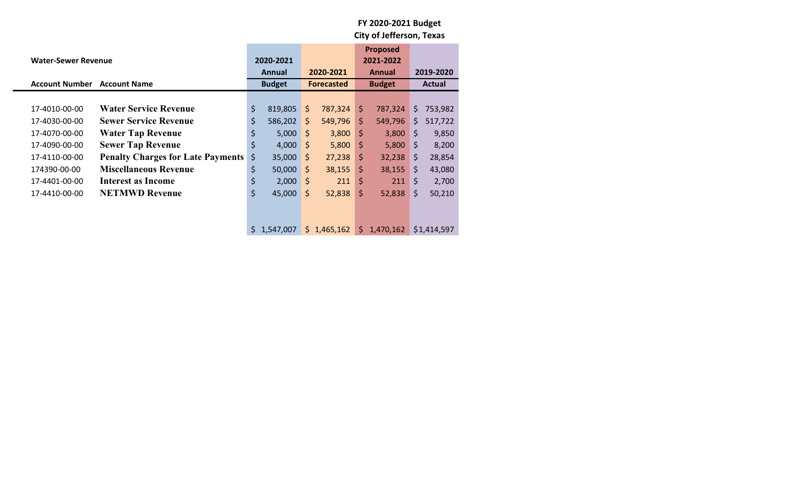|                            |                                          |           |               |                    |                   |                    | <b>Proposed</b> |    |               |  |
|----------------------------|------------------------------------------|-----------|---------------|--------------------|-------------------|--------------------|-----------------|----|---------------|--|
| <b>Water-Sewer Revenue</b> |                                          | 2020-2021 |               |                    |                   | 2021-2022          |                 |    |               |  |
|                            |                                          |           | <b>Annual</b> |                    | 2020-2021         | Annual             |                 |    | 2019-2020     |  |
| <b>Account Number</b>      | <b>Account Name</b>                      |           | <b>Budget</b> |                    | <b>Forecasted</b> | <b>Budget</b>      |                 |    | <b>Actual</b> |  |
|                            |                                          |           |               |                    |                   |                    |                 |    |               |  |
| 17-4010-00-00              | <b>Water Service Revenue</b>             | \$        | 819,805       | $\mathsf{\hat{S}}$ | 787,324           | S.                 | 787,324         | S. | 753,982       |  |
| 17-4030-00-00              | <b>Sewer Service Revenue</b>             | \$        | 586,202       | \$                 | 549,796           | $\mathsf{\hat{S}}$ | 549,796         | S. | 517,722       |  |
| 17-4070-00-00              | <b>Water Tap Revenue</b>                 | \$        | 5,000         | \$.                | 3,800             | $\mathsf{S}$       | 3,800           | \$ | 9,850         |  |
| 17-4090-00-00              | <b>Sewer Tap Revenue</b>                 | \$        | 4,000         | S                  | 5,800             | \$                 | 5,800           | \$ | 8,200         |  |
| 17-4110-00-00              | <b>Penalty Charges for Late Payments</b> | \$        | 35,000        | \$                 | 27,238            | $\zeta$            | 32,238          | S. | 28,854        |  |
| 174390-00-00               | <b>Miscellaneous Revenue</b>             | \$        | 50,000        | \$                 | 38,155            | \$                 | 38,155          | \$ | 43,080        |  |
| 17-4401-00-00              | Interest as Income                       | \$        | 2,000         | \$.                | 211               | \$                 | 211             | S. | 2,700         |  |
| 17-4410-00-00              | <b>NETMWD Revenue</b>                    | \$        | 45,000        | \$                 | 52,838            | \$                 | 52,838          | \$ | 50,210        |  |
|                            |                                          |           |               |                    |                   |                    |                 |    |               |  |
|                            |                                          |           |               |                    |                   |                    |                 |    |               |  |
|                            |                                          | \$.       | 1,547,007     |                    | \$1,465,162       | $\mathsf{S}$       | 1,470,162       |    | \$1,414,597   |  |